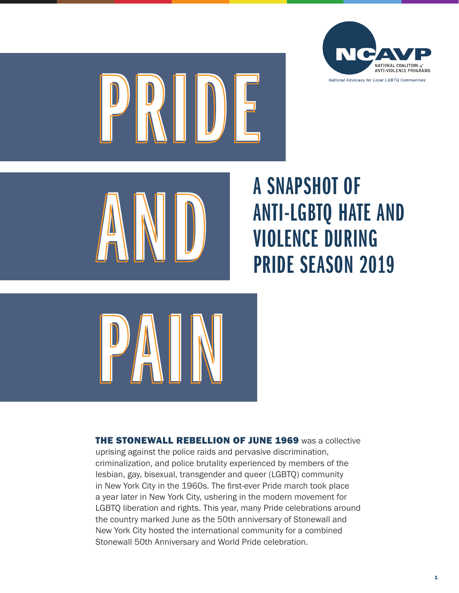





# A SNAPSHOT OF ANTI-LGBTQ HATE AND A SNAPSHUI UF<br>AND ANTI-LGBTQ HATE AN<br>PRIDE SEASON 2019



**THE STONEWALL REBELLION OF JUNE 1969** was a collective uprising against the police raids and pervasive discrimination, criminalization, and police brutality experienced by members of the lesbian, gay, bisexual, transgender and queer (LGBTQ) community in New York City in the 1960s. The first-ever Pride march took place a year later in New York City, ushering in the modern movement for LGBTQ liberation and rights. This year, many Pride celebrations around the country marked June as the 50th anniversary of Stonewall and New York City hosted the international community for a combined Stonewall 50th Anniversary and World Pride celebration.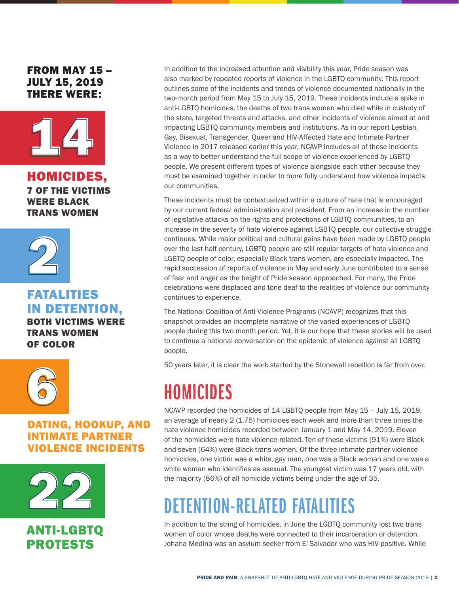FROM MAY 15 – JULY 15, 2019 THERE WERE:



HOMICIDES, 7 OF THE VICTIMS WERE BLACK TRANS WOMEN



FATALITIES IN DETENTION, BOTH VICTIMS WERE

TRANS WOMEN OF COLOR



DATING, HOOKUP, AND INTIMATE PARTNER VIOLENCE INCIDENTS



ANTI-LGBTQ PROTESTS

In addition to the increased attention and visibility this year, Pride season was also marked by repeated reports of violence in the LGBTQ community. This report outlines some of the incidents and trends of violence documented nationally in the two-month period from May 15 to July 15, 2019. These incidents include a spike in anti-LGBTQ homicides, the deaths of two trans women who died while in custody of the state, targeted threats and attacks, and other incidents of violence aimed at and impacting LGBTQ community members and institutions. As in our report Lesbian, Gay, Bisexual, Transgender, Queer and HIV-Affected Hate and Intimate Partner Violence in 2017 released earlier this year, NCAVP includes all of these incidents as a way to better understand the full scope of violence experienced by LGBTQ people. We present different types of violence alongside each other because they must be examined together in order to more fully understand how violence impacts our communities.

These incidents must be contextualized within a culture of hate that is encouraged by our current federal administration and president. From an increase in the number of legislative attacks on the rights and protections of LGBTQ communities, to an increase in the severity of hate violence against LGBTQ people, our collective struggle continues. While major political and cultural gains have been made by LGBTQ people over the last half century, LGBTQ people are still regular targets of hate violence and LGBTQ people of color, especially Black trans women, are especially impacted. The rapid succession of reports of violence in May and early June contributed to a sense of fear and anger as the height of Pride season approached. For many, the Pride celebrations were displaced and tone deaf to the realities of violence our community continues to experience.

The National Coalition of Anti-Violence Programs (NCAVP) recognizes that this snapshot provides an incomplete narrative of the varied experiences of LGBTQ people during this two month period. Yet, it is our hope that these stories will be used to continue a national conversation on the epidemic of violence against all LGBTQ people.

50 years later, it is clear the work started by the Stonewall rebellion is far from over.

# HOMICIDES

NCAVP recorded the homicides of 14 LGBTQ people from May 15 – July 15, 2019, an average of nearly 2 (1.75) homicides each week and more than three times the hate violence homicides recorded between January 1 and May 14, 2019. Eleven of the homicides were hate violence-related. Ten of these victims (91%) were Black and seven (64%) were Black trans women. Of the three intimate partner violence homicides, one victim was a white, gay man, one was a Black woman and one was a white woman who identifies as asexual. The youngest victim was 17 years old, with the majority (86%) of all homicide victims being under the age of 35.

# DETENTION-RELATED FATALITIES

In addition to the string of homicides, in June the LGBTQ community lost two trans women of color whose deaths were connected to their incarceration or detention. Johana Medina was an asylum seeker from El Salvador who was HIV-positive. While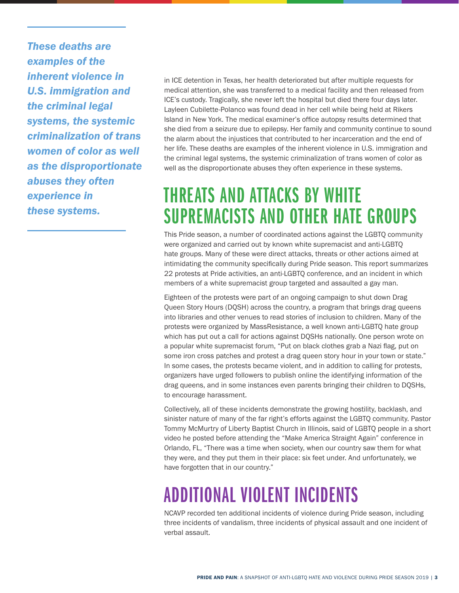*These deaths are examples of the inherent violence in U.S. immigration and the criminal legal systems, the systemic criminalization of trans women of color as well as the disproportionate abuses they often experience in these systems.* 

in ICE detention in Texas, her health deteriorated but after multiple requests for medical attention, she was transferred to a medical facility and then released from ICE's custody. Tragically, she never left the hospital but died there four days later. Layleen Cubilette-Polanco was found dead in her cell while being held at Rikers Island in New York. The medical examiner's office autopsy results determined that she died from a seizure due to epilepsy. Her family and community continue to sound the alarm about the injustices that contributed to her incarceration and the end of her life. These deaths are examples of the inherent violence in U.S. immigration and the criminal legal systems, the systemic criminalization of trans women of color as well as the disproportionate abuses they often experience in these systems.

# THREATS AND ATTACKS BY WHITE SUPREMACISTS AND OTHER HATE GROUPS

This Pride season, a number of coordinated actions against the LGBTQ community were organized and carried out by known white supremacist and anti-LGBTQ hate groups. Many of these were direct attacks, threats or other actions aimed at intimidating the community specifically during Pride season. This report summarizes 22 protests at Pride activities, an anti-LGBTQ conference, and an incident in which members of a white supremacist group targeted and assaulted a gay man.

Eighteen of the protests were part of an ongoing campaign to shut down Drag Queen Story Hours (DQSH) across the country, a program that brings drag queens into libraries and other venues to read stories of inclusion to children. Many of the protests were organized by MassResistance, a well known anti-LGBTQ hate group which has put out a call for actions against DQSHs nationally. One person wrote on a popular white supremacist forum, "Put on black clothes grab a Nazi flag, put on some iron cross patches and protest a drag queen story hour in your town or state." In some cases, the protests became violent, and in addition to calling for protests, organizers have urged followers to publish online the identifying information of the drag queens, and in some instances even parents bringing their children to DQSHs, to encourage harassment.

Collectively, all of these incidents demonstrate the growing hostility, backlash, and sinister nature of many of the far right's efforts against the LGBTQ community. Pastor Tommy McMurtry of Liberty Baptist Church in Illinois, said of LGBTQ people in a short video he posted before attending the "Make America Straight Again" conference in Orlando, FL, "There was a time when society, when our country saw them for what they were, and they put them in their place: six feet under. And unfortunately, we have forgotten that in our country."

# ADDITIONAL VIOLENT INCIDENTS

NCAVP recorded ten additional incidents of violence during Pride season, including three incidents of vandalism, three incidents of physical assault and one incident of verbal assault.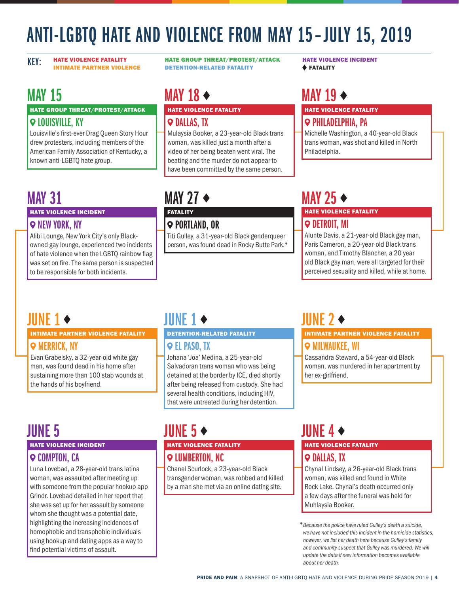# ANTI-LGBTQ HATE AND VIOLENCE FROM MAY 15 –JULY 15, 2019

KEY: HATE VIOLENCE FATALITY INTIMATE PARTNER VIOLENCE HATE GROUP THREAT/PROTEST/ATTACK DETENTION-RELATED FATALITY

MAY 15

#### HATE GROUP THREAT/PROTEST/ATTACK

#### **Q LOUISVILLE, KY**

Louisville's first-ever Drag Queen Story Hour drew protesters, including members of the American Family Association of Kentucky, a known anti-LGBTQ hate group.

## MAY 31

## HATE VIOLENCE INCIDENT

## **Q NEW YORK, NY**

Alibi Lounge, New York City's only Blackowned gay lounge, experienced two incidents of hate violence when the LGBTQ rainbow flag was set on fire. The same person is suspected to be responsible for both incidents.

# MAY 18 $\leftrightarrow$

## HATE VIOLENCE FATALITY

### **Q DALLAS, TX**

Mulaysia Booker, a 23-year-old Black trans woman, was killed just a month after a video of her being beaten went viral. The beating and the murder do not appear to have been committed by the same person.

## MAY 27  $\triangle$

## **FATALITY**

**PORTLAND, OR** Titi Gulley, a 31-year-old Black genderqueer person, was found dead in Rocky Butte Park.\*

## MAY 19

## HATE VIOLENCE FATALITY

## *<u>PHILADELPHIA, PA</u>*

Michelle Washington, a 40-year-old Black trans woman, was shot and killed in North Philadelphia.

## MAY 25

### HATE VIOLENCE FATALITY  $\heartsuit$  detroit. MI

Alunte Davis, a 21-year-old Black gay man, Paris Cameron, a 20-year-old Black trans woman, and Timothy Blancher, a 20 year old Black gay man, were all targeted for their perceived sexuality and killed, while at home.

## JUNE 1  $\leftrightarrow$

#### INTIMATE PARTNER VIOLENCE FATALITY

## *Q* MERRICK, NY

Evan Grabelsky, a 32-year-old white gay man, was found dead in his home after sustaining more than 100 stab wounds at the hands of his boyfriend.

## $I$ IIINE 1  $\bullet$

#### DETENTION-RELATED FATALITY

## EL PASO, TX

Johana 'Joa' Medina, a 25-year-old Salvadoran trans woman who was being detained at the border by ICE, died shortly after being released from custody. She had several health conditions, including HIV, that were untreated during her detention.

# JUNE 5

#### HATE VIOLENCE INCIDENT

## **Q COMPTON, CA**

Luna Lovebad, a 28-year-old trans latina woman, was assaulted after meeting up with someone from the popular hookup app Grindr. Lovebad detailed in her report that she was set up for her assault by someone whom she thought was a potential date, highlighting the increasing incidences of homophobic and transphobic individuals using hookup and dating apps as a way to find potential victims of assault.

## JUNE 5  $\leftrightarrow$

## HATE VIOLENCE FATALITY

## **Q LUMBERTON, NC**

Chanel Scurlock, a 23-year-old Black transgender woman, was robbed and killed by a man she met via an online dating site.

## JUNE 2

### INTIMATE PARTNER VIOLENCE FATALITY *<u>O</del> MILWAUKEE, WI*</u>

Cassandra Steward, a 54-year-old Black woman, was murdered in her apartment by her ex-girlfriend.

## HATE VIOLENCE FATALITY **JUNE 4**  $\triangleleft$

## **Q DALLAS, TX**

Chynal Lindsey, a 26-year-old Black trans woman, was killed and found in White Rock Lake. Chynal's death occurred only a few days after the funeral was held for Muhlaysia Booker.

 \**Because the police have ruled Gulley's death a suicide, we have not included this incident in the homicide statistics, however, we list her death here because Gulley's family and community suspect that Gulley was murdered. We will update the data if new information becomes available about her death.*

HATE VIOLENCE INCIDENT **+ FATALITY**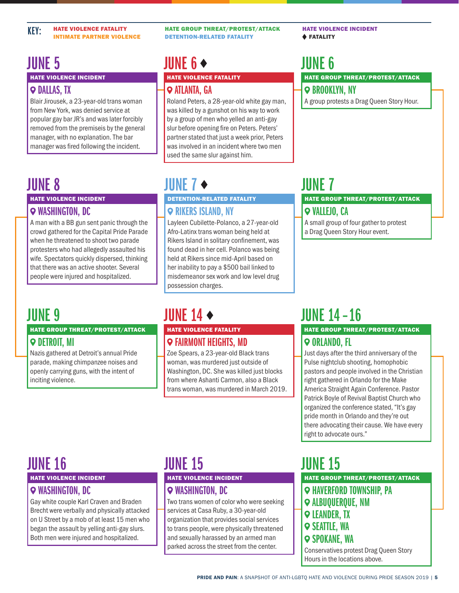HATE GROUP THREAT/PROTEST/ATTACK DETENTION-RELATED FATALITY

## JUNE 5

HATE VIOLENCE INCIDENT

## **Q DALLAS, TX**

Blair Jirousek, a 23-year-old trans woman from New York, was denied service at popular gay bar JR's and was later forcibly removed from the premiseis by the general manager, with no explanation. The bar manager was fired following the incident.

## JUNE 8

## HATE VIOLENCE INCIDENT

## *Q* WASHINGTON, DC

A man with a BB gun sent panic through the crowd gathered for the Capital Pride Parade when he threatened to shoot two parade protesters who had allegedly assaulted his wife. Spectators quickly dispersed, thinking that there was an active shooter. Several people were injured and hospitalized.

## **JUNE 9**

#### HATE GROUP THREAT/PROTEST/ATTACK

## $\heartsuit$  **detroit. MI**

Nazis gathered at Detroit's annual Pride parade, making chimpanzee noises and openly carrying guns, with the intent of inciting violence.

## HATE VIOLENCE FATALITY JUNE 6

## ATLANTA, GA

Roland Peters, a 28-year-old white gay man, was killed by a gunshot on his way to work by a group of men who yelled an anti-gay slur before opening fire on Peters. Peters' partner stated that just a week prior, Peters was involved in an incident where two men used the same slur against him.

## JUNE 7  $\blacklozenge$

## DETENTION-RELATED FATALITY

## **Q RIKERS ISLAND, NY**

Layleen Cubilette-Polanco, a 27-year-old Afro-Latinx trans woman being held at Rikers Island in solitary confinement, was found dead in her cell. Polanco was being held at Rikers since mid-April based on her inability to pay a \$500 bail linked to misdemeanor sex work and low level drug possession charges.

## **IIINF 14**  $\triangle$

## HATE VIOLENCE FATALITY FAIRMONT HEIGHTS, MD

Zoe Spears, a 23-year-old Black trans woman, was murdered just outside of Washington, DC. She was killed just blocks from where Ashanti Carmon, also a Black trans woman, was murdered in March 2019.

## JUNE 7

 $\odot$  **BROOKLYN, NY** 

HATE VIOLENCE INCIDENT

JUNE 6

FATALITY

#### HATE GROUP THREAT/PROTEST/ATTACK  $\circ$  **VALLEJO, CA**

HATE GROUP THREAT/PROTEST/ATTACK

A group protests a Drag Queen Story Hour.

A small group of four gather to protest a Drag Queen Story Hour event.

# JUNE 14 – 16

### HATE GROUP THREAT/PROTEST/ATTACK ORLANDO, FL

Just days after the third anniversary of the Pulse nightclub shooting, homophobic pastors and people involved in the Christian right gathered in Orlando for the Make America Straight Again Conference. Pastor Patrick Boyle of Revival Baptist Church who organized the conference stated, "It's gay pride month in Orlando and they're out there advocating their cause. We have every right to advocate ours."

## JUNE 16

### HATE VIOLENCE INCIDENT

## WASHINGTON, DC

Gay white couple Karl Craven and Braden Brecht were verbally and physically attacked on U Street by a mob of at least 15 men who began the assault by yelling anti-gay slurs. Both men were injured and hospitalized.

## **JUNE 15**

## HATE VIOLENCE INCIDENT

## WASHINGTON, DC

Two trans women of color who were seeking services at Casa Ruby, a 30-year-old organization that provides social services to trans people, were physically threatened and sexually harassed by an armed man parked across the street from the center.

## JUNE 15

HATE GROUP THREAT/PROTEST/ATTACK HAVERFORD TOWNSHIP, PA ALBUQUERQUE, NM **Q LEANDER, TX**  $\circ$  **SEATTLE, WA SPOKANE, WA** Conservatives protest Drag Queen Story Hours in the locations above.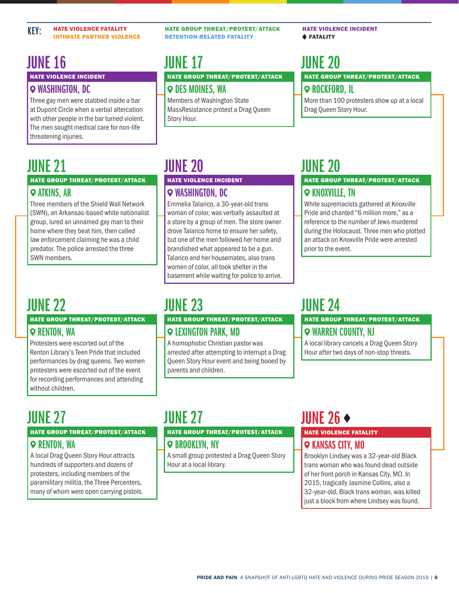## JUNE 16

HATE VIOLENCE INCIDENT

## WASHINGTON, DC

Three gay men were stabbed inside a bar at Dupont Circle when a verbal altercation with other people in the bar turned violent. The men sought medical care for non-life threatening injuries.

## JUNE 21

#### HATE GROUP THREAT/PROTEST/ATTACK **9 ATKINS, AR**

Three members of the Shield Wall Network (SWN), an Arkansas-based white nationalist group, lured an unnamed gay man to their home where they beat him, then called law enforcement claiming he was a child predator. The police arrested the three SWN members.

# JUNE 22

#### HATE GROUP THREAT/PROTEST/ATTACK

## **Q RENTON, WA**

Protesters were escorted out of the

Renton Library's Teen Pride that included performances by drag queens. Two women protesters were escorted out of the event for recording performances and attending without children.

## JUNE 27

JUNE 23

#### HATE GROUP THREAT/PROTEST/ATTACK

HATE GROUP THREAT/PROTEST/ATTACK

arrested after attempting to interrupt a Drag Queen Story Hour event and being booed by

LEXINGTON PARK, MD

parents and children.

A homophobic Christian pastor was

## $\odot$  **BROOKLYN, NY**

A small group protested a Drag Queen Story Hour at a local library.

# WARREN COUNTY, NJ

JUNE 24

A local library cancels a Drag Queen Story Hour after two days of non-stop threats.

HATE GROUP THREAT/PROTEST/ATTACK

HATE GROUP THREAT/PROTEST/ATTACK

White supremacists gathered at Knoxville Pride and chanted "6 million more," as a reference to the number of Jews murdered during the Holocaust. Three men who plotted prior to the event.

ROCKFORD, IL

More than 100 protesters show up at a local Drag Queen Story Hour.

JUNE 20

## **Q KNOXVILLE, TN**

an attack on Knoxville Pride were arrested

# **JUNE 27**

HATE GROUP THREAT/PROTEST/ATTACK

## **Q RENTON, WA**

A local Drag Queen Story Hour attracts hundreds of supporters and dozens of protesters, including members of the paramilitary militia, the Three Percenters, many of whom were open carrying pistols.

# IIINF  $26 \rightarrow$

### HATE VIOLENCE FATALITY  $\circ$  **KANSAS CITY, MO**

Brooklyn Lindsey was a 32-year-old Black trans woman who was found dead outside of her front porch in Kansas City, MO. In 2015, tragically Jasmine Collins, also a 32-year-old, Black trans woman, was killed just a block from where Lindsey was found.

HATE VIOLENCE INCIDENT FATALITY

## HATE GROUP THREAT/PROTEST/ATTACK JUNE 20

## HATE GROUP THREAT/PROTEST/ATTACK

HATE VIOLENCE INCIDENT WASHINGTON, DC

Emmelia Talarico, a 30-year-old trans woman of color, was verbally assaulted at a store by a group of men. The store owner drove Talarico home to ensure her safety, but one of the men followed her home and brandished what appeared to be a gun. Talarico and her housemates, also trans women of color, all took shelter in the basement while waiting for police to arrive.

JUNE 17

JUNE 20

**Q** DES MOINES, WA Members of Washington State MassResistance protest a Drag Queen Story Hour.

HATE GROUP THREAT/PROTEST/ATTACK

DETENTION-RELATED FATALITY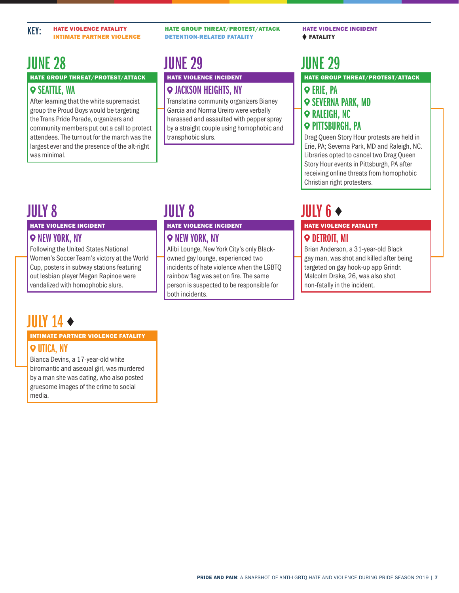## HATE GROUP THREAT/PROTEST/ATTACK **9 SEATTLE, WA** JUNE 28

After learning that the white supremacist group the Proud Boys would be targeting the Trans Pride Parade, organizers and community members put out a call to protect attendees. The turnout for the march was the largest ever and the presence of the alt-right was minimal.

HATE GROUP THREAT/PROTEST/ATTACK DETENTION-RELATED FATALITY

## HATE VIOLENCE INCIDENT JUNE 29

## JACKSON HEIGHTS, NY

Translatina community organizers Bianey Garcia and Norma Ureiro were verbally harassed and assaulted with pepper spray by a straight couple using homophobic and transphobic slurs.

HATE VIOLENCE INCIDENT FATALITY

# JUNE 29

HATE GROUP THREAT/PROTEST/ATTACK

## **Q ERIE, PA** *SEVERNA PARK, MD <u>RALEIGH, NC</u>* **PITTSBURGH, PA**

Drag Queen Story Hour protests are held in Erie, PA; Severna Park, MD and Raleigh, NC. Libraries opted to cancel two Drag Queen Story Hour events in Pittsburgh, PA after receiving online threats from homophobic Christian right protesters.

## JULY 8

#### HATE VIOLENCE INCIDENT

### **Q NEW YORK, NY**

Following the United States National Women's Soccer Team's victory at the World Cup, posters in subway stations featuring out lesbian player Megan Rapinoe were vandalized with homophobic slurs.

## JULY 14

#### INTIMATE PARTNER VIOLENCE FATALITY UTICA, NY

Bianca Devins, a 17-year-old white biromantic and asexual girl, was murdered by a man she was dating, who also posted gruesome images of the crime to social media.

## JULY 8

#### HATE VIOLENCE INCIDENT

## **Q NEW YORK, NY**

Alibi Lounge, New York City's only Blackowned gay lounge, experienced two incidents of hate violence when the LGBTQ rainbow flag was set on fire. The same person is suspected to be responsible for both incidents.

# JULY 6  $\leftrightarrow$

#### HATE VIOLENCE FATALITY **9 DETROIT, MI**

Brian Anderson, a 31-year-old Black gay man, was shot and killed after being targeted on gay hook-up app Grindr. Malcolm Drake, 26, was also shot non-fatally in the incident.